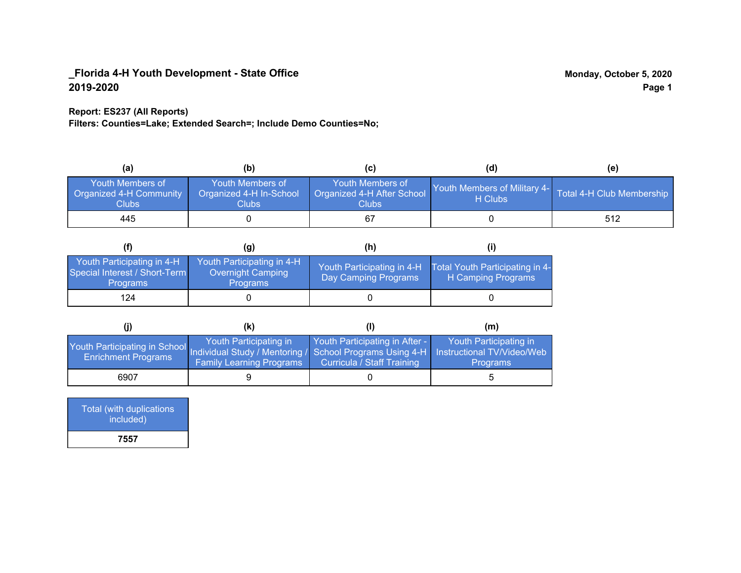### **Report: ES237 (All Reports)**

**Filters: Counties=Lake; Extended Search=; Include Demo Counties=No;**

| (a)                                                         | (b)                                                   | (C)                                                       | (d)                                                               | (e) |
|-------------------------------------------------------------|-------------------------------------------------------|-----------------------------------------------------------|-------------------------------------------------------------------|-----|
| <b>Youth Members of</b><br>Organized 4-H Community<br>Clubs | Youth Members of<br>Organized 4-H In-School<br>Clubs: | Youth Members of<br>Organized 4-H After School<br>Clubs : | Youth Members of Military 4- Total 4-H Club Membership<br>H Clubs |     |
| 445                                                         |                                                       |                                                           |                                                                   | 512 |

|                                                                                | (g)                                                                 | (h)                                                 |                                                       |
|--------------------------------------------------------------------------------|---------------------------------------------------------------------|-----------------------------------------------------|-------------------------------------------------------|
| Youth Participating in 4-H<br>Special Interest / Short-Term<br><b>Programs</b> | Youth Participating in 4-H,<br>Overnight Camping<br><b>Programs</b> | Youth Participating in 4-H,<br>Day Camping Programs | Total Youth Participating in 4-<br>H Camping Programs |
| 124                                                                            |                                                                     |                                                     |                                                       |

|                                                                                                                                                 | (K)                                                       |                                                                     | (m)                                       |
|-------------------------------------------------------------------------------------------------------------------------------------------------|-----------------------------------------------------------|---------------------------------------------------------------------|-------------------------------------------|
| Youth Participating in School Individual Study / Mentoring / School Programs Using 4-H Instructional TV/Video/Web<br><b>Enrichment Programs</b> | Youth Participating in<br><b>Family Learning Programs</b> | Youth Participating in After -<br><b>Curricula / Staff Training</b> | Youth Participating in<br><b>Programs</b> |
| 6907                                                                                                                                            |                                                           |                                                                     |                                           |

| <b>Total (with duplications</b><br>included) |
|----------------------------------------------|
| 7557                                         |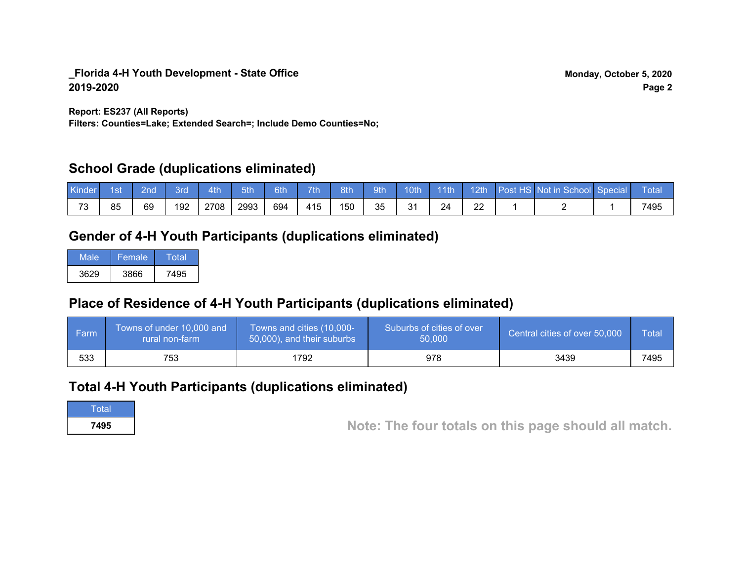**Report: ES237 (All Reports)**

**Filters: Counties=Lake; Extended Search=; Include Demo Counties=No;**

## **School Grade (duplications eliminated)**

| Kinder    | 1st | 2nd | Brd | 4th  | 5th  | 6th | 7th | 8th | 9th <sup>1</sup> | 10th    | $-11$ th | 12th | Post HS Not in School Special | Total |
|-----------|-----|-----|-----|------|------|-----|-----|-----|------------------|---------|----------|------|-------------------------------|-------|
| っへ<br>ت ' | 85  | 69  | 192 | 2708 | 2993 | 694 | 415 | 150 | 35               | 21<br>ັ | 24       | ∠∠   |                               | 7495  |

# **Gender of 4-H Youth Participants (duplications eliminated)**

| Male | 'Female. | Total |
|------|----------|-------|
| 3629 | 3866     | 7495  |

# **Place of Residence of 4-H Youth Participants (duplications eliminated)**

| i Farmi | Towns of under 10,000 and<br>rural non-farm | Towns and cities (10,000-<br>50,000), and their suburbs | Suburbs of cities of over<br>50,000 | Central cities of over 50,000 | Total |
|---------|---------------------------------------------|---------------------------------------------------------|-------------------------------------|-------------------------------|-------|
| 533     | 753                                         | 1792                                                    | 978                                 | 3439                          | 7495  |

## **Total 4-H Youth Participants (duplications eliminated)**

**Total** 

**<sup>7495</sup> Note: The four totals on this page should all match.**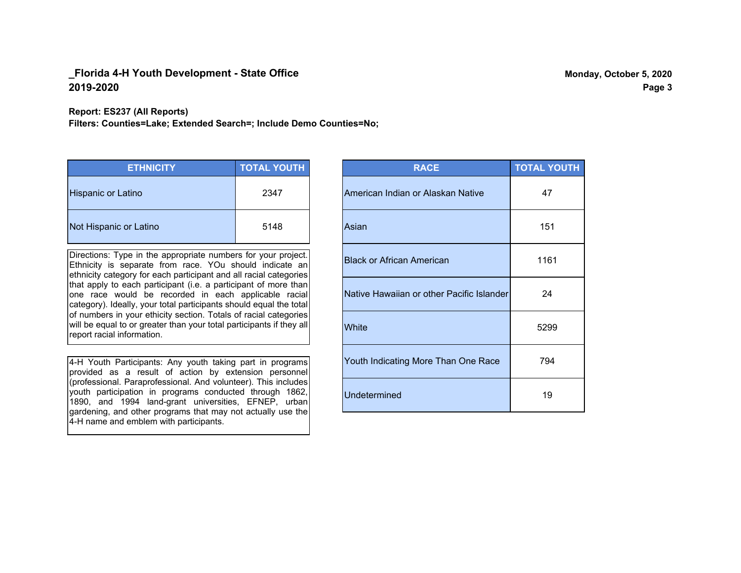**Report: ES237 (All Reports)**

**Filters: Counties=Lake; Extended Search=; Include Demo Counties=No;**

| <b>ETHNICITY</b>          | <b>TOTAL YOUTH</b> |
|---------------------------|--------------------|
| <b>Hispanic or Latino</b> | 2347               |
| Not Hispanic or Latino    | 5148               |

Directions: Type in the appropriate numbers for your project. Ethnicity is separate from race. YOu should indicate an ethnicity category for each participant and all racial categories that apply to each participant (i.e. a participant of more than one race would be recorded in each applicable racial category). Ideally, your total participants should equal the total of numbers in your ethicity section. Totals of racial categories will be equal to or greater than your total participants if they all report racial information.

4-H Youth Participants: Any youth taking part in programs provided as a result of action by extension personnel (professional. Paraprofessional. And volunteer). This includes youth participation in programs conducted through 1862, 1890, and 1994 land-grant universities, EFNEP, urban gardening, and other programs that may not actually use the 4-H name and emblem with participants.

| <b>RACE</b>                               | <b>TOTAL YOUTH</b> |
|-------------------------------------------|--------------------|
| American Indian or Alaskan Native         | 47                 |
| Asian                                     | 151                |
| <b>Black or African American</b>          | 1161               |
| Native Hawaiian or other Pacific Islander | 24                 |
| White                                     | 5299               |
| Youth Indicating More Than One Race       | 794                |
| <b>Undetermined</b>                       | 19                 |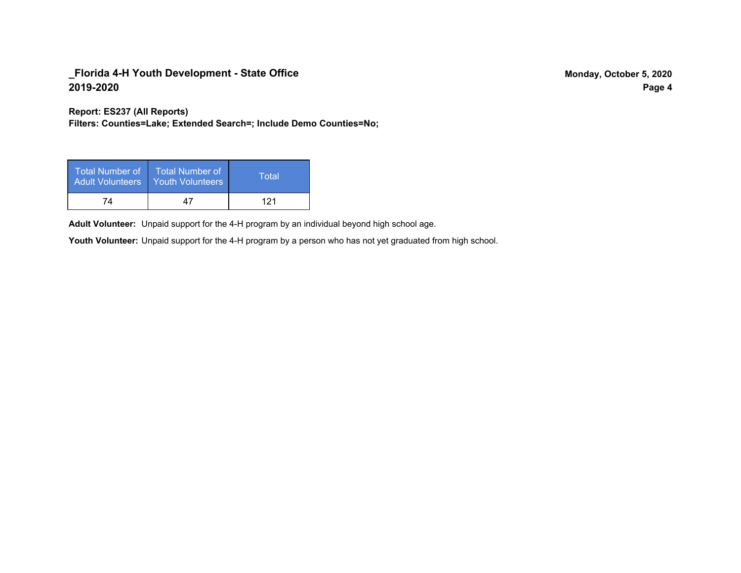**Report: ES237 (All Reports)**

**Filters: Counties=Lake; Extended Search=; Include Demo Counties=No;**

| Total Number of<br><b>Adult Volunteers</b> | <b>Total Number of</b><br><b>Youth Volunteers</b> | Total |
|--------------------------------------------|---------------------------------------------------|-------|
| 74                                         | 47                                                | 121   |

Adult Volunteer: Unpaid support for the 4-H program by an individual beyond high school age.

Youth Volunteer: Unpaid support for the 4-H program by a person who has not yet graduated from high school.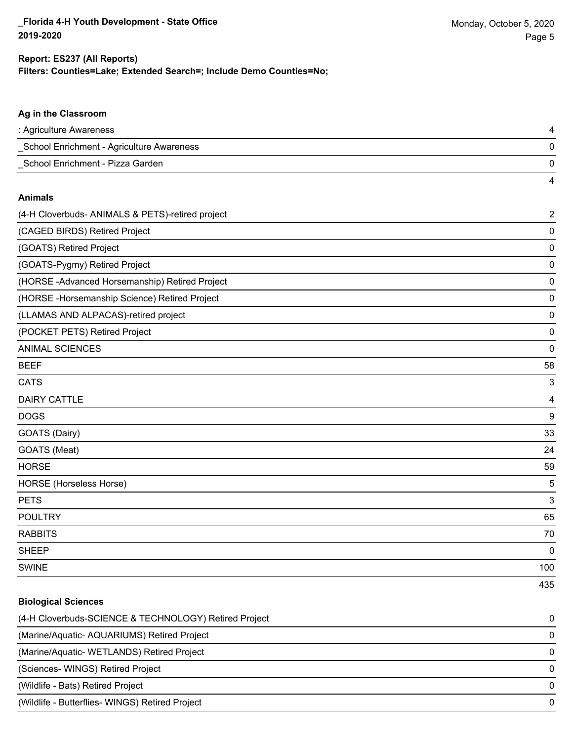4

#### **Ag in the Classroom**

| : Agriculture Awareness                   |  |
|-------------------------------------------|--|
| School Enrichment - Agriculture Awareness |  |
| School Enrichment - Pizza Garden          |  |

#### **Animals**

| (4-H Cloverbuds- ANIMALS & PETS)-retired project | $\overline{2}$ |
|--------------------------------------------------|----------------|
| (CAGED BIRDS) Retired Project                    | 0              |
| (GOATS) Retired Project                          | 0              |
| (GOATS-Pygmy) Retired Project                    | $\mathbf 0$    |
| (HORSE-Advanced Horsemanship) Retired Project    | 0              |
| (HORSE -Horsemanship Science) Retired Project    | 0              |
| (LLAMAS AND ALPACAS)-retired project             | 0              |
| (POCKET PETS) Retired Project                    | 0              |
| <b>ANIMAL SCIENCES</b>                           | 0              |
| <b>BEEF</b>                                      | 58             |
| <b>CATS</b>                                      | 3              |
| <b>DAIRY CATTLE</b>                              | 4              |
| <b>DOGS</b>                                      | 9              |
| GOATS (Dairy)                                    | 33             |
| GOATS (Meat)                                     | 24             |
| <b>HORSE</b>                                     | 59             |
| HORSE (Horseless Horse)                          | 5              |
| <b>PETS</b>                                      | 3              |
| <b>POULTRY</b>                                   | 65             |
| <b>RABBITS</b>                                   | 70             |
| <b>SHEEP</b>                                     | 0              |
| <b>SWINE</b>                                     | 100            |
|                                                  | 435            |

#### **Biological Sciences**

| (4-H Cloverbuds-SCIENCE & TECHNOLOGY) Retired Project | $\Omega$ |
|-------------------------------------------------------|----------|
| (Marine/Aquatic-AQUARIUMS) Retired Project            | $\Omega$ |
| (Marine/Aquatic-WETLANDS) Retired Project             | $\Omega$ |
| (Sciences- WINGS) Retired Project                     | $\Omega$ |
| (Wildlife - Bats) Retired Project                     | $\Omega$ |
| (Wildlife - Butterflies- WINGS) Retired Project       | $\Omega$ |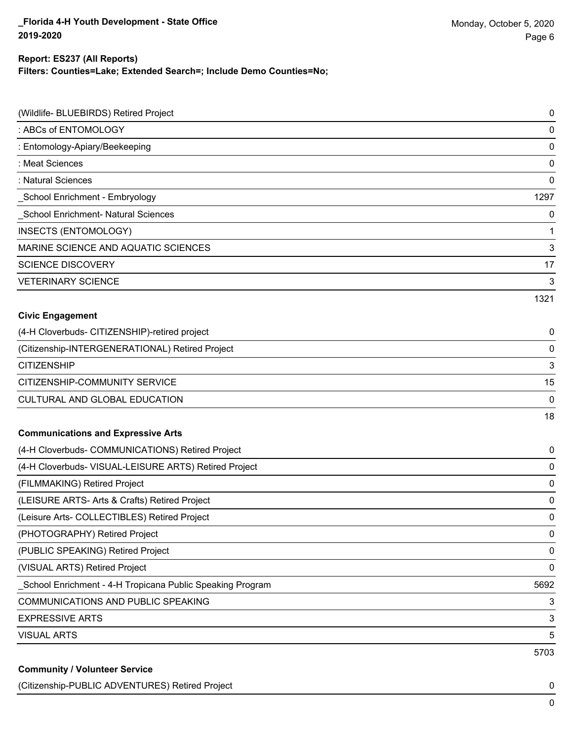### **Filters: Counties=Lake; Extended Search=; Include Demo Counties=No; Report: ES237 (All Reports)**

| (Wildlife- BLUEBIRDS) Retired Project                     | 0            |
|-----------------------------------------------------------|--------------|
| : ABCs of ENTOMOLOGY                                      | $\pmb{0}$    |
| : Entomology-Apiary/Beekeeping                            | $\pmb{0}$    |
| : Meat Sciences                                           | $\pmb{0}$    |
| : Natural Sciences                                        | 0            |
| School Enrichment - Embryology                            | 1297         |
| School Enrichment- Natural Sciences                       | 0            |
| <b>INSECTS (ENTOMOLOGY)</b>                               | $\mathbf{1}$ |
| MARINE SCIENCE AND AQUATIC SCIENCES                       | 3            |
| <b>SCIENCE DISCOVERY</b>                                  | 17           |
| <b>VETERINARY SCIENCE</b>                                 | 3            |
|                                                           | 1321         |
| <b>Civic Engagement</b>                                   |              |
| (4-H Cloverbuds- CITIZENSHIP)-retired project             | 0            |
| (Citizenship-INTERGENERATIONAL) Retired Project           | $\pmb{0}$    |
| <b>CITIZENSHIP</b>                                        | $\mathbf{3}$ |
| CITIZENSHIP-COMMUNITY SERVICE                             | 15           |
| CULTURAL AND GLOBAL EDUCATION                             | $\pmb{0}$    |
|                                                           | 18           |
| <b>Communications and Expressive Arts</b>                 |              |
| (4-H Cloverbuds- COMMUNICATIONS) Retired Project          | 0            |
| (4-H Cloverbuds- VISUAL-LEISURE ARTS) Retired Project     | $\pmb{0}$    |
| (FILMMAKING) Retired Project                              | 0            |
| (LEISURE ARTS- Arts & Crafts) Retired Project             | 0            |
| (Leisure Arts- COLLECTIBLES) Retired Project              | $\pmb{0}$    |
| (PHOTOGRAPHY) Retired Project                             | 0            |
| (PUBLIC SPEAKING) Retired Project                         | $\pmb{0}$    |
| (VISUAL ARTS) Retired Project                             | $\pmb{0}$    |
| School Enrichment - 4-H Tropicana Public Speaking Program | 5692         |
| COMMUNICATIONS AND PUBLIC SPEAKING                        | 3            |
| <b>EXPRESSIVE ARTS</b>                                    | $\sqrt{3}$   |
| <b>VISUAL ARTS</b>                                        | 5            |
|                                                           | 5703         |
| <b>Community / Volunteer Service</b>                      |              |

(Citizenship-PUBLIC ADVENTURES) Retired Project 0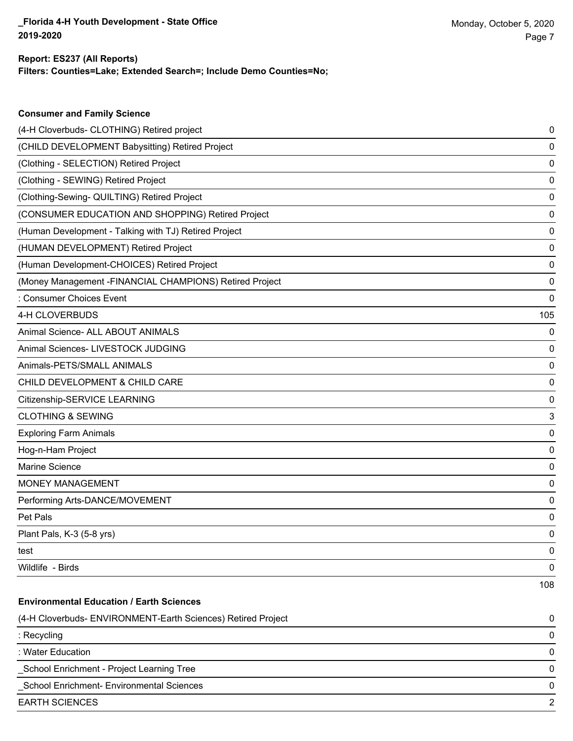**Consumer and Family Science**

### **Filters: Counties=Lake; Extended Search=; Include Demo Counties=No; Report: ES237 (All Reports)**

| (4-H Cloverbuds- CLOTHING) Retired project                   | 0   |
|--------------------------------------------------------------|-----|
| (CHILD DEVELOPMENT Babysitting) Retired Project              | 0   |
| (Clothing - SELECTION) Retired Project                       | 0   |
| (Clothing - SEWING) Retired Project                          | 0   |
| (Clothing-Sewing- QUILTING) Retired Project                  | 0   |
| (CONSUMER EDUCATION AND SHOPPING) Retired Project            | 0   |
| (Human Development - Talking with TJ) Retired Project        | 0   |
| (HUMAN DEVELOPMENT) Retired Project                          | 0   |
| (Human Development-CHOICES) Retired Project                  | 0   |
| (Money Management -FINANCIAL CHAMPIONS) Retired Project      | 0   |
| : Consumer Choices Event                                     | 0   |
| 4-H CLOVERBUDS                                               | 105 |
| Animal Science- ALL ABOUT ANIMALS                            | 0   |
| Animal Sciences- LIVESTOCK JUDGING                           | 0   |
| Animals-PETS/SMALL ANIMALS                                   | 0   |
| CHILD DEVELOPMENT & CHILD CARE                               | 0   |
| Citizenship-SERVICE LEARNING                                 | 0   |
| <b>CLOTHING &amp; SEWING</b>                                 | 3   |
| <b>Exploring Farm Animals</b>                                | 0   |
| Hog-n-Ham Project                                            | 0   |
| Marine Science                                               | 0   |
| <b>MONEY MANAGEMENT</b>                                      | 0   |
| Performing Arts-DANCE/MOVEMENT                               | 0   |
| Pet Pals                                                     | 0   |
| Plant Pals, K-3 (5-8 yrs)                                    | 0   |
| test                                                         | 0   |
| Wildlife - Birds                                             | 0   |
|                                                              | 108 |
| <b>Environmental Education / Earth Sciences</b>              |     |
| (4-H Cloverbuds- ENVIRONMENT-Earth Sciences) Retired Project | 0   |
| : Recycling                                                  | 0   |
| : Water Education                                            | 0   |
| School Enrichment - Project Learning Tree                    | 0   |
| School Enrichment- Environmental Sciences                    | 0   |
| <b>EARTH SCIENCES</b>                                        | 2   |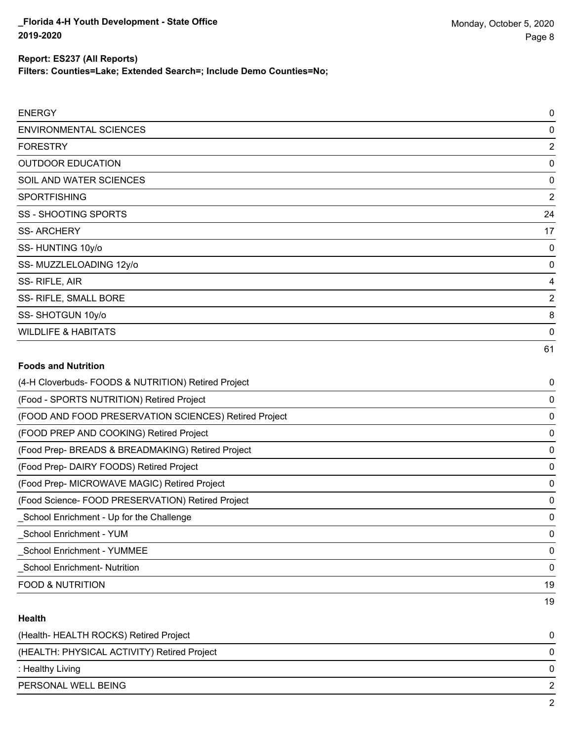| Report: ES237 (All Reports)                                         |  |
|---------------------------------------------------------------------|--|
| Filters: Counties=Lake; Extended Search=; Include Demo Counties=No; |  |
|                                                                     |  |
| <b>ENERGY</b>                                                       |  |
| <b>ENVIRONMENTAL SCIENCES</b>                                       |  |
| <b>FORESTRY</b>                                                     |  |
| <b>OUTDOOR EDUCATION</b>                                            |  |
| SOIL AND WATER SCIENCES                                             |  |

| <b>SPORTFISHING</b>            | 2  |
|--------------------------------|----|
| SS - SHOOTING SPORTS           | 24 |
| <b>SS-ARCHERY</b>              | 17 |
| SS-HUNTING 10y/o               | 0  |
| SS-MUZZLELOADING 12y/o         | 0  |
| SS-RIFLE, AIR                  | 4  |
| SS- RIFLE, SMALL BORE          | 2  |
| SS-SHOTGUN 10y/o               | 8  |
| <b>WILDLIFE &amp; HABITATS</b> | 0  |

### **Foods and Nutrition**

| (4-H Cloverbuds- FOODS & NUTRITION) Retired Project   | 0  |
|-------------------------------------------------------|----|
| (Food - SPORTS NUTRITION) Retired Project             | 0  |
| (FOOD AND FOOD PRESERVATION SCIENCES) Retired Project | 0  |
| (FOOD PREP AND COOKING) Retired Project               | 0  |
| (Food Prep- BREADS & BREADMAKING) Retired Project     | 0  |
| (Food Prep- DAIRY FOODS) Retired Project              | 0  |
| (Food Prep- MICROWAVE MAGIC) Retired Project          | 0  |
| (Food Science- FOOD PRESERVATION) Retired Project     | 0  |
| School Enrichment - Up for the Challenge              | 0  |
| School Enrichment - YUM                               | 0  |
| <b>School Enrichment - YUMMEE</b>                     | 0  |
| School Enrichment- Nutrition                          | 0  |
| <b>FOOD &amp; NUTRITION</b>                           | 19 |
|                                                       | 19 |

#### **Health**

| (Health-HEALTH ROCKS) Retired Project       | 0        |
|---------------------------------------------|----------|
| (HEALTH: PHYSICAL ACTIVITY) Retired Project | 0        |
| : Healthy Living                            | $\Omega$ |
| PERSONAL WELL BEING                         | 2        |
|                                             | ົ        |

61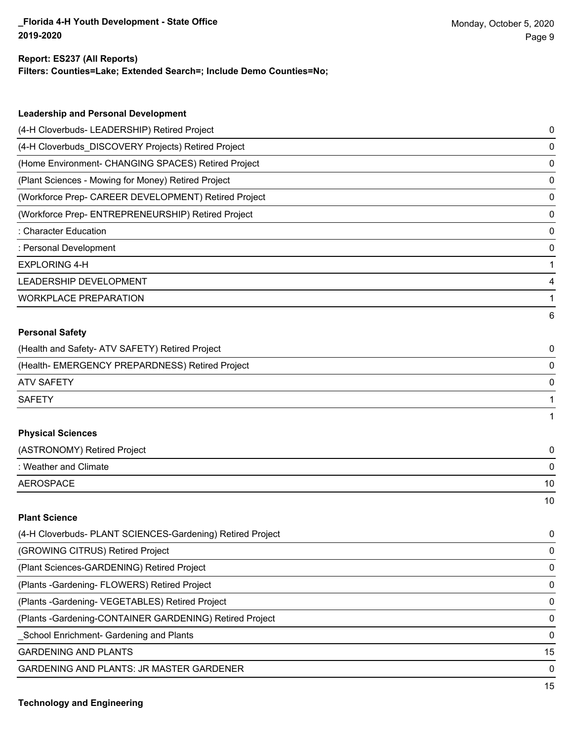### **Filters: Counties=Lake; Extended Search=; Include Demo Counties=No; Report: ES237 (All Reports)**

| <b>Leadership and Personal Development</b>           |   |
|------------------------------------------------------|---|
| (4-H Cloverbuds- LEADERSHIP) Retired Project         | 0 |
| (4-H Cloverbuds DISCOVERY Projects) Retired Project  | 0 |
| (Home Environment- CHANGING SPACES) Retired Project  | 0 |
| (Plant Sciences - Mowing for Money) Retired Project  | 0 |
| (Workforce Prep- CAREER DEVELOPMENT) Retired Project | 0 |
| (Workforce Prep- ENTREPRENEURSHIP) Retired Project   | 0 |
| : Character Education                                | 0 |
| : Personal Development                               | 0 |
| EXPLORING 4-H                                        |   |
| <b>LEADERSHIP DEVELOPMENT</b>                        | 4 |
| <b>WORKPLACE PREPARATION</b>                         |   |
|                                                      | 6 |

### **Personal Safety**

| (Health and Safety- ATV SAFETY) Retired Project |   |
|-------------------------------------------------|---|
| (Health-EMERGENCY PREPARDNESS) Retired Project  | 0 |
| ATV SAFETY                                      | 0 |
| <b>SAFETY</b>                                   |   |
|                                                 |   |

### **Physical Sciences**

| (ASTRONOMY) Retired Project |    |
|-----------------------------|----|
| : Weather and Climate       |    |
| AEROSPACE                   | 10 |
|                             | 10 |

#### **Plant Science**

| (4-H Cloverbuds- PLANT SCIENCES-Gardening) Retired Project | $\mathbf{0}$ |
|------------------------------------------------------------|--------------|
| (GROWING CITRUS) Retired Project                           | 0            |
| (Plant Sciences-GARDENING) Retired Project                 | 0            |
| (Plants - Gardening - FLOWERS) Retired Project             | 0            |
| (Plants - Gardening - VEGETABLES) Retired Project          | $\Omega$     |
| (Plants - Gardening-CONTAINER GARDENING) Retired Project   | $\Omega$     |
| School Enrichment- Gardening and Plants                    | $\Omega$     |
| <b>GARDENING AND PLANTS</b>                                | 15           |
| <b>GARDENING AND PLANTS: JR MASTER GARDENER</b>            | $\Omega$     |
|                                                            |              |